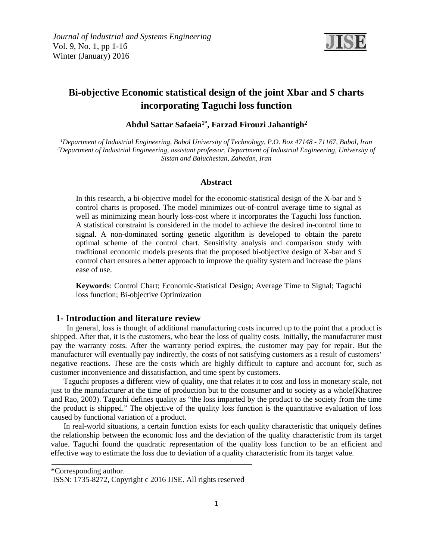

# **Bi-objective Economic statistical design of the joint Xbar and** *S* **charts incorporating Taguchi loss function**

# **<sup>2</sup> , Farzad Firouzi Jahantigh Abdul Sattar Safaeia1\***

*1 Department of Industrial Engineering, Babol University of Technology, P.O. Box 47148 - 71167, Babol, Iran 2 Department of Industrial Engineering, assistant professor, Department of Industrial Engineering, University of Sistan and Baluchestan, Zahedan, Iran*

#### **Abstract**

In this research, a bi-objective model for the economic-statistical design of the X-bar and *S* control charts is proposed. The model minimizes out-of-control average time to signal as well as minimizing mean hourly loss-cost where it incorporates the Taguchi loss function. A statistical constraint is considered in the model to achieve the desired in-control time to signal. A non-dominated sorting genetic algorithm is developed to obtain the pareto optimal scheme of the control chart. Sensitivity analysis and comparison study with traditional economic models presents that the proposed bi-objective design of X-bar and *S* control chart ensures a better approach to improve the quality system and increase the plans ease of use.

**Keywords**: Control Chart; Economic-Statistical Design; Average Time to Signal; Taguchi loss function; Bi-objective Optimization

#### **1- Introduction and literature review**

 In general, loss is thought of additional manufacturing costs incurred up to the point that a product is shipped. After that, it is the customers, who bear the loss of quality costs. Initially, the manufacturer must pay the warranty costs. After the warranty period expires, the customer may pay for repair. But the manufacturer will eventually pay indirectly, the costs of not satisfying customers as a result of customers' negative reactions. These are the costs which are highly difficult to capture and account for, such as customer inconvenience and dissatisfaction, and time spent by customers.

Taguchi proposes a different view of quality, one that relates it to cost and loss in monetary scale, not just to the manufacturer at the time of production but to the consumer and to society as a whole[\(Khattree](#page-14-0)  [and Rao, 2003\)](#page-14-0). Taguchi defines quality as "the loss imparted by the product to the society from the time the product is shipped." The objective of the quality loss function is the quantitative evaluation of loss caused by functional variation of a product.

In real-world situations, a certain function exists for each quality characteristic that uniquely defines the relationship between the economic loss and the deviation of the quality characteristic from its target value. Taguchi found the quadratic representation of the quality loss function to be an efficient and effective way to estimate the loss due to deviation of a quality characteristic from its target value.

\*Corresponding author.

ISSN: 1735-8272, Copyright c 2016 JISE. All rights reserved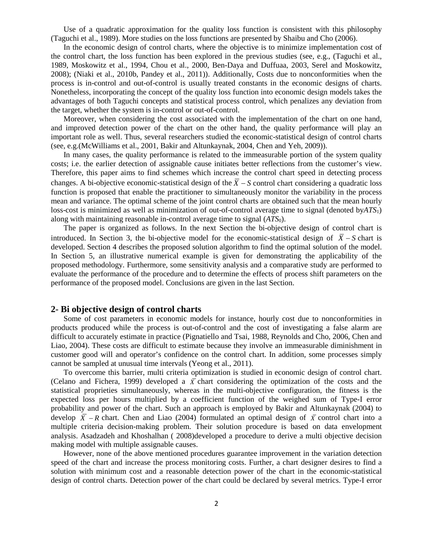Use of a quadratic approximation for the quality loss function is consistent with this philosophy [\(Taguchi et al., 1989\)](#page-15-0). More studies on the loss functions are presented by Shaibu and Cho [\(2006\)](#page-15-1).

In the economic design of control charts, where the objective is to minimize implementation cost of the control chart, the loss function has been explored in the previous studies (see, e.g., [\(Taguchi et al.,](#page-15-0)  [1989,](#page-15-0) [Moskowitz et al., 1994,](#page-14-1) [Chou et al., 2000,](#page-14-2) [Ben-Daya and Duffuaa, 2003,](#page-14-3) [Serel and Moskowitz,](#page-15-2)  [2008\)](#page-15-2); [\(Niaki et al., 2010b,](#page-15-3) [Pandey et al., 2011\)](#page-15-4)). Additionally, Costs due to nonconformities when the process is in-control and out-of-control is usually treated constants in the economic designs of charts. Nonetheless, incorporating the concept of the quality loss function into economic design models takes the advantages of both Taguchi concepts and statistical process control, which penalizes any deviation from the target, whether the system is in-control or out-of-control.

Moreover, when considering the cost associated with the implementation of the chart on one hand, and improved detection power of the chart on the other hand, the quality performance will play an important role as well. Thus, several researchers studied the economic-statistical design of control charts (see, e.g.[\(McWilliams et al., 2001,](#page-14-4) [Bakir and Altunkaynak, 2004,](#page-13-0) [Chen and Yeh, 2009\)](#page-14-5)).

In many cases, the quality performance is related to the immeasurable portion of the system quality costs; i.e. the earlier detection of assignable cause initiates better reflections from the customer's view. Therefore, this paper aims to find schemes which increase the control chart speed in detecting process changes. A bi-objective economic-statistical design of the  $\bar{X}$  – S control chart considering a quadratic loss function is proposed that enable the practitioner to simultaneously monitor the variability in the process mean and variance. The optimal scheme of the joint control charts are obtained such that the mean hourly loss-cost is minimized as well as minimization of out-of-control average time to signal (denoted by*ATS*1) along with maintaining reasonable in-control average time to signal (*ATS*0).

The paper is organized as follows. In the next Section the bi-objective design of control chart is introduced. In Section 3, the bi-objective model for the economic-statistical design of  $\overline{X}$  – S chart is developed. Section 4 describes the proposed solution algorithm to find the optimal solution of the model. In Section 5, an illustrative numerical example is given for demonstrating the applicability of the proposed methodology. Furthermore, some sensitivity analysis and a comparative study are performed to evaluate the performance of the procedure and to determine the effects of process shift parameters on the performance of the proposed model. Conclusions are given in the last Section.

#### **2- Bi objective design of control charts**

Some of cost parameters in economic models for instance, hourly cost due to nonconformities in products produced while the process is out-of-control and the cost of investigating a false alarm are difficult to accurately estimate in practice [\(Pignatiello and Tsai, 1988,](#page-15-5) [Reynolds and Cho, 2006,](#page-15-6) [Chen and](#page-14-6)  [Liao, 2004\)](#page-14-6). These costs are difficult to estimate because they involve an immeasurable diminishment in customer good will and operator's confidence on the control chart. In addition, some processes simply cannot be sampled at unusual time intervals [\(Yeong et al., 2011\)](#page-15-7).

To overcome this barrier, multi criteria optimization is studied in economic design of control chart. [\(Celano and Fichera, 1999\)](#page-14-7) developed a  $\bar{x}$  chart considering the optimization of the costs and the statistical proprieties simultaneously, whereas in the multi-objective configuration, the fitness is the expected loss per hours multiplied by a coefficient function of the weighed sum of Type-I error probability and power of the chart. Such an approach is employed by [Bakir and Altunkaynak \(2004\)](#page-13-0) to develop  $\overline{X}$  - R chart. [Chen and Liao \(2004\)](#page-14-6) formulated an optimal design of  $\overline{X}$  control chart into a multiple criteria decision-making problem. Their solution procedure is based on data envelopment analysis. [Asadzadeh and Khoshalhan](#page-13-1) ( 2008)developed a procedure to derive a multi objective decision making model with multiple assignable causes.

However, none of the above mentioned procedures guarantee improvement in the variation detection speed of the chart and increase the process monitoring costs. Further, a chart designer desires to find a solution with minimum cost and a reasonable detection power of the chart in the economic-statistical design of control charts. Detection power of the chart could be declared by several metrics. Type-I error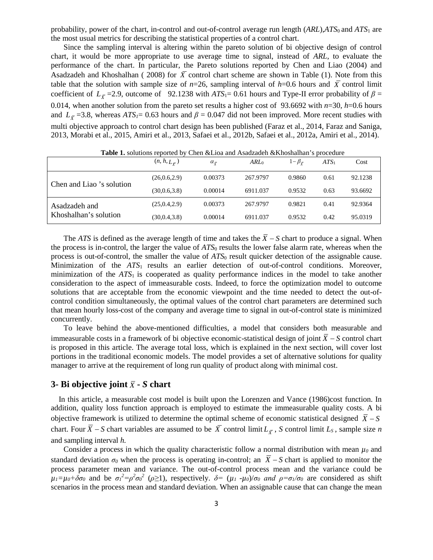probability, power of the chart, in-control and out-of-control average run length (*ARL*),*ATS*<sup>0</sup> and *ATS*<sup>1</sup> are the most usual metrics for describing the statistical properties of a control chart.

Since the sampling interval is altering within the pareto solution of bi objective design of control chart, it would be more appropriate to use average time to signal, instead of *ARL*, to evaluate the performance of the chart. In particular, the Pareto solutions reported by Chen and Liao (2004) and Asadzadeh and Khoshalhan ( [2008\)](#page-13-1) for  $\overline{X}$  control chart scheme are shown in Table (1). Note from this table that the solution with sample size of  $n=26$ , sampling interval of  $h=0.6$  hours and  $\overline{X}$  control limit coefficient of  $L_{\overline{X}}$  =2.9, outcome of 92.1238 with *ATS*<sub>1</sub>= 0.61 hours and Type-II error probability of  $\beta$  = 0.014, when another solution from the pareto set results a higher cost of 93.6692 with *n*=30, *h*=0.6 hours and  $L_{\overline{Y}}$  =3.8, whereas *ATS<sub>1</sub>*= 0.63 hours and  $\beta$  = 0.047 did not been improved. More recent studies with multi objective approach to control chart design has been published [\(Faraz et al., 2014,](#page-14-8) [Faraz and Saniga,](#page-14-9)  [2013,](#page-14-9) [Morabi et al., 2015,](#page-14-10) [Amiri et al., 2013,](#page-13-2) Safaei et [al., 2012b,](#page-15-8) [Safaei et al., 2012a,](#page-15-9) [Amiri et al., 2014\)](#page-13-3).

|                           | $(n, h, L_{\overline{Y}})$ | $\alpha_{\bar{Y}}$ | ARL <sub>0</sub> | $1-\beta_{\overline{v}}$ | $ATS_1$ | Cost    |
|---------------------------|----------------------------|--------------------|------------------|--------------------------|---------|---------|
| Chen and Liao 's solution | (26, 0.6, 2.9)             | 0.00373            | 267.9797         | 0.9860                   | 0.61    | 92.1238 |
|                           | (30,0.6,3.8)               | 0.00014            | 6911.037         | 0.9532                   | 0.63    | 93.6692 |
| Asadzadeh and             | (25, 0.4, 2.9)             | 0.00373            | 267.9797         | 0.9821                   | 0.41    | 92.9364 |
| Khoshalhan's solution     | (30,0.4,3.8)               | 0.00014            | 6911.037         | 0.9532                   | 0.42    | 95.0319 |

**Table 1.** solutions reported by Chen &Lioa and Asadzadeh &Khoshalhan's procedure

The *ATS* is defined as the average length of time and takes the  $\overline{X}$  − S chart to produce a signal. When the process is in-control, the larger the value of *ATS*<sup>0</sup> results the lower false alarm rate, whereas when the process is out-of-control, the smaller the value of *ATS*<sup>0</sup> result quicker detection of the assignable cause. Minimization of the *ATS*1 results an earlier detection of out-of-control conditions. Moreover, minimization of the *ATS*<sup>1</sup> is cooperated as quality performance indices in the model to take another consideration to the aspect of immeasurable costs. Indeed, to force the optimization model to outcome solutions that are acceptable from the economic viewpoint and the time needed to detect the out-ofcontrol condition simultaneously, the optimal values of the control chart parameters are determined such that mean hourly loss-cost of the company and average time to signal in out-of-control state is minimized concurrently.

To leave behind the above-mentioned difficulties, a model that considers both measurable and immeasurable costs in a framework of bi objective economic-statistical design of joint  $\overline{X}$  − S control chart is proposed in this article. The average total loss, which is explained in the next section, will cover lost portions in the traditional economic models. The model provides a set of alternative solutions for quality manager to arrive at the requirement of long run quality of product along with minimal cost.

# **3- Bi objective joint** *X* **-** *S* **chart**

 In this article, a measurable cost model is built upon the [Lorenzen and Vance](#page-14-11) (1986)cost function. In addition, quality loss function approach is employed to estimate the immeasurable quality costs. A bi objective framework is utilized to determine the optimal scheme of economic statistical designed  $\overline{X}$  − S chart. Four  $\overline{X}$  − S chart variables are assumed to be  $\overline{X}$  control limit  $L_{\overline{Y}}$ , S control limit  $L_S$ , sample size *n* and sampling interval *h.*

Consider a process in which the quality characteristic follow a normal distribution with mean  $\mu_0$  and standard deviation  $\sigma_0$  when the process is operating in-control; an  $\overline{X}$  − S chart is applied to monitor the process parameter mean and variance. The out-of-control process mean and the variance could be  $\mu_1 = \mu_0 + \delta \sigma_0$  and be  $\sigma_1^2 = \rho^2 \sigma_0^2$  ( $\rho \ge 1$ ), respectively.  $\delta = (\mu_1 - \mu_0)/\sigma_0$  and  $\rho = \sigma_1/\sigma_0$  are considered as shift scenarios in the process mean and standard deviation. When an assignable cause that can change the mean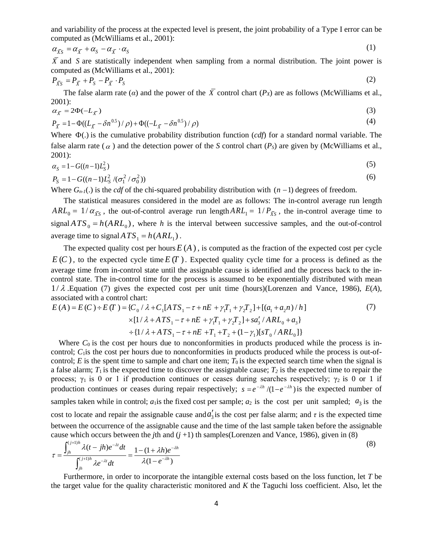and variability of the process at the expected level is present, the joint probability of a Type I error can be computed as [\(McWilliams et al., 2001\)](#page-14-4):

$$
\alpha_{\bar{X}s} = \alpha_{\bar{X}} + \alpha_{s} - \alpha_{\bar{X}} \cdot \alpha_{s} \tag{1}
$$

 $\overline{X}$  and *S* are statistically independent when sampling from a normal distribution. The joint power is computed as [\(McWilliams et al., 2001\)](#page-14-4):

$$
P_{\overline{X}S} = P_{\overline{X}} + P_S - P_{\overline{X}} \cdot P_S \tag{2}
$$

The false alarm rate ( $\alpha$ ) and the power of the  $\overline{X}$  control chart ( $P_X$ ) are as follows (McWilliams et al., [2001\)](#page-14-4):

$$
\alpha_{\overline{X}} = 2\Phi(-L_{\overline{X}})
$$
 (3)

$$
P_{\bar{X}} = 1 - \Phi((L_{\bar{X}} - \delta n^{0.5}) / \rho) + \Phi((-L_{\bar{X}} - \delta n^{0.5}) / \rho)
$$
\n(4)

Where Φ(.) is the cumulative probability distribution function (*cdf*) for a standard normal variable. The false alarm rate ( $\alpha$ ) and the detection power of the *S* control chart ( $P<sub>S</sub>$ ) are given by (McWilliams et al., [2001\)](#page-14-4):

$$
\alpha_{\rm S} = 1 - G((n-1)L_{\rm S}^2) \tag{5}
$$

$$
P_{\rm S} = 1 - G((n-1)L_{\rm S}^2/(\sigma_1^2/\sigma_0^2))
$$
\n(6)

Where  $G_{n-1}(\cdot)$  is the *cdf* of the chi-squared probability distribution with  $(n-1)$  degrees of freedom.

The statistical measures considered in the model are as follows: The in-control average run length  $ARL_0 = 1/\alpha_{\bar{X}S}$ , the out-of-control average run length  $ARL_1 = 1/P_{\bar{X}S}$ , the in-control average time to signal  $ATS_0 = h(ARL_0)$ , where *h* is the interval between successive samples, and the out-of-control average time to signal  $ATS_1 = h(ARL_1)$ .

The expected quality cost per hours  $E(A)$ , is computed as the fraction of the expected cost per cycle  $E(C)$ , to the expected cycle time  $E(T)$ . Expected quality cycle time for a process is defined as the average time from in-control state until the assignable cause is identified and the process back to the incontrol state. The in-control time for the process is assumed to be exponentially distributed with mean  $1/\lambda$ . Equation (7) gives the expected cost per unit time (hours)[\(Lorenzen and Vance, 1986\)](#page-14-11),  $E(A)$ , associated with a control chart:

$$
E(A) = E(C) \div E(T) = \{C_0 / \lambda + C_1 [ATS_1 - \tau + nE + \gamma_1 T_1 + \gamma_2 T_2] + [(a_1 + a_2 n) / h] \times [1 / \lambda + ATS_1 - \tau + nE + \gamma_1 T_1 + \gamma_2 T_2] + sa'_3 / ARL_0 + a_3 \}
$$
  
 
$$
\div \{1 / \lambda + ATS_1 - \tau + nE + T_1 + T_2 + (1 - \gamma_1)[sT_0 / ARL_0] \}
$$
 (7)

Where  $C_0$  is the cost per hours due to nonconformities in products produced while the process is incontrol;  $C_1$  is the cost per hours due to nonconformities in products produced while the process is out-ofcontrol; *E* is the spent time to sample and chart one item;  $T_0$  is the expected search time when the signal is a false alarm;  $T_1$  is the expected time to discover the assignable cause;  $T_2$  is the expected time to repair the process;  $γ_1$  is 0 or 1 if production continues or ceases during searches respectively;  $γ_2$  is 0 or 1 if production continues or ceases during repair respectively;  $s = e^{-\lambda h}/(1 - e^{-\lambda h})$  is the expected number of samples taken while in control;  $a_1$  is the fixed cost per sample;  $a_2$  is the cost per unit sampled;  $a_3$  is the cost to locate and repair the assignable cause and  $a'_3$  is the cost per false alarm; and  $\tau$  is the expected time between the occurrence of the assignable cause and the time of the last sample taken before the assignable cause which occurs between the *j*th and  $(j + 1)$  th samples[\(Lorenzen and Vance, 1986\)](#page-14-11), given in (8)

$$
\tau = \frac{\int_{jh}^{(j+1)h} \lambda(t - jh)e^{-\lambda t}dt}{\int_{jh}^{(j+1)h} \lambda e^{-\lambda t}dt} = \frac{1 - (1 + \lambda h)e^{-\lambda h}}{\lambda(1 - e^{-\lambda h})}
$$
(8)

Furthermore, in order to incorporate the intangible external costs based on the loss function, let *T* be the target value for the quality characteristic monitored and *K* the Taguchi loss coefficient. Also, let the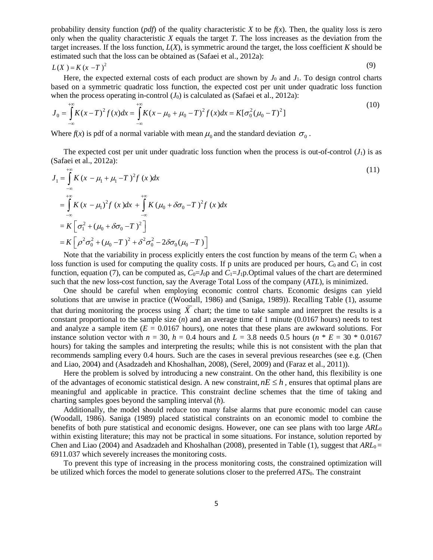probability density function (*pdf*) of the quality characteristic *X* to be  $f(x)$ . Then, the quality loss is zero only when the quality characteristic *X* equals the target *T*. The loss increases as the deviation from the target increases. If the loss function,  $L(X)$ , is symmetric around the target, the loss coefficient  $K$  should be estimated such that the loss can be obtained as [\(Safaei et al., 2012a\)](#page-15-9):

$$
L(X) = K(x - T)^2
$$
 (9)

Here, the expected external costs of each product are shown by  $J_0$  and  $J_1$ . To design control charts based on a symmetric quadratic loss function, the expected cost per unit under quadratic loss function when the process operating in-control  $(J_0)$  is calculated as [\(Safaei et al., 2012a\)](#page-15-9): +∞  $(10)$ 

$$
J_0 = \int_{-\infty}^{\infty} K(x - T)^2 f(x) dx = \int_{-\infty}^{\infty} K(x - \mu_0 + \mu_0 - T)^2 f(x) dx = K[\sigma_0^2 (\mu_0 - T)^2]
$$
 (10)

Where  $f(x)$  is pdf of a normal variable with mean  $\mu_0$  and the standard deviation  $\sigma_0$ .

+∞

The expected cost per unit under quadratic loss function when the process is out-of-control  $(J_1)$  is as [\(Safaei et al., 2012a\)](#page-15-9):  $(11)$ 

$$
J_1 = \int_{-\infty}^{+\infty} K (x - \mu_1 + \mu_1 - T)^2 f (x) dx
$$
  
\n
$$
= \int_{-\infty}^{+\infty} K (x - \mu_1)^2 f (x) dx + \int_{-\infty}^{+\infty} K (\mu_0 + \delta \sigma_0 - T)^2 f (x) dx
$$
  
\n
$$
= K \left[ \sigma_1^2 + (\mu_0 + \delta \sigma_0 - T)^2 \right]
$$
  
\n
$$
= K \left[ \rho^2 \sigma_0^2 + (\mu_0 - T)^2 + \delta^2 \sigma_0^2 - 2 \delta \sigma_0 (\mu_0 - T) \right]
$$
\n(11)

Note that the variability in process explicitly enters the cost function by means of the term  $C_1$  when a loss function is used for computing the quality costs. If p units are produced per hours,  $C_0$  and  $C_1$  in cost function, equation (7), can be computed as,  $C_0 = J_0$  and  $C_1 = J_1$ p. Optimal values of the chart are determined such that the new loss-cost function, say the Average Total Loss of the company (*ATL*), is minimized.

One should be careful when employing economic control charts. Economic designs can yield solutions that are unwise in practice ([\(Woodall, 1986\)](#page-15-10) and [\(Saniga, 1989\)](#page-15-11)). Recalling Table (1), assume that during monitoring the process using  $\overline{X}$  chart; the time to take sample and interpret the results is a constant proportional to the sample size (*n*) and an average time of 1 minute (0.0167 hours) needs to test and analyze a sample item  $(E = 0.0167$  hours), one notes that these plans are awkward solutions. For instance solution vector with  $n = 30$ ,  $h = 0.4$  hours and  $L = 3.8$  needs 0.5 hours ( $n * E = 30 * 0.0167$ hours) for taking the samples and interpreting the results; while this is not consistent with the plan that recommends sampling every 0.4 hours. Such are the cases in several previous researches (see e.g. [\(Chen](#page-14-6)  [and Liao, 2004\)](#page-14-6) and [\(Asadzadeh and Khoshalhan, 2008\)](#page-13-1), [\(Serel, 2009\)](#page-15-12) and [\(Faraz et al., 2011\)](#page-14-12)).

Here the problem is solved by introducing a new constraint. On the other hand, this flexibility is one of the advantages of economic statistical design. A new constraint,  $nE \leq h$ , ensures that optimal plans are meaningful and applicable in practice. This constraint decline schemes that the time of taking and charting samples goes beyond the sampling interval (*h*).

Additionally, the model should reduce too many false alarms that pure economic model can cause (Woodall, 1986). [Saniga \(1989\)](#page-15-11) placed statistical constraints on an economic model to combine the benefits of both pure statistical and economic designs. However, one can see plans with too large *ARL*<sup>0</sup> within existing literature; this may not be practical in some situations. For instance, solution reported by [Chen and Liao](#page-14-6) (2004) an[d Asadzadeh and Khoshalhan \(2008\)](#page-13-1), presented in Table (1), suggest that  $ARL<sub>0</sub>$  = 6911.037 which severely increases the monitoring costs.

To prevent this type of increasing in the process monitoring costs, the constrained optimization will be utilized which forces the model to generate solutions closer to the preferred *ATS*0. The constraint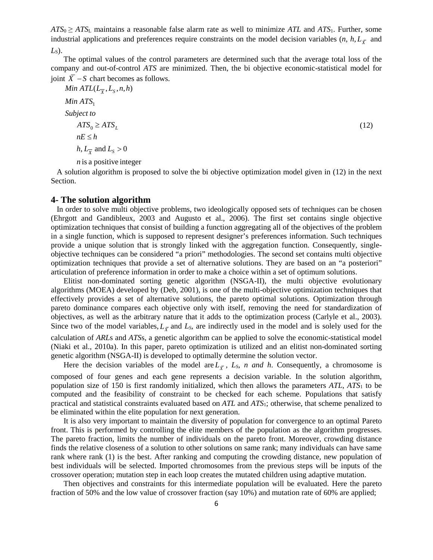*ATS*0 ≥ *ATS*<sup>L</sup> maintains a reasonable false alarm rate as well to minimize *ATL* and *ATS*1. Further, some industrial applications and preferences require constraints on the model decision variables  $(n, h, L<sub>\bar{v}</sub>$  and *L*<sub>S</sub> $)$ .

The optimal values of the control parameters are determined such that the average total loss of the company and out-of-control *ATS* are minimized. Then, the bi objective economic-statistical model for joint  $\overline{X}$  − S chart becomes as follows.

Min ATL(
$$
L_{\overline{X}}
$$
,  $L_S$ , *n*, *h*)  
\nMin ATS<sub>1</sub>  
\nSubject to  
\n $ATS_0 \geq ATS_L$   
\n $nE \leq h$   
\n $h, L_{\overline{X}}$  and  $L_S > 0$   
\n*n* is a positive integer

 A solution algorithm is proposed to solve the bi objective optimization model given in (12) in the next Section.

### **4- The solution algorithm**

 In order to solve multi objective problems, two ideologically opposed sets of techniques can be chosen [\(Ehrgott and Gandibleux, 2003](#page-14-13) and [Augusto et al., 2006\)](#page-13-4). The first set contains single objective optimization techniques that consist of building a function aggregating all of the objectives of the problem in a single function, which is supposed to represent designer's preferences information. Such techniques provide a unique solution that is strongly linked with the aggregation function. Consequently, singleobjective techniques can be considered "a priori" methodologies. The second set contains multi objective optimization techniques that provide a set of alternative solutions. They are based on an "a posteriori" articulation of preference information in order to make a choice within a set of optimum solutions.

Elitist non-dominated sorting genetic algorithm (NSGA-II), the multi objective evolutionary algorithms (MOEA) developed by [\(Deb, 2001\)](#page-14-14), is one of the multi-objective optimization techniques that effectively provides a set of alternative solutions, the pareto optimal solutions. Optimization through pareto dominance compares each objective only with itself, removing the need for standardization of objectives, as well as the arbitrary nature that it adds to the optimization process [\(Carlyle et al., 2003\)](#page-14-15). Since two of the model variables,  $L_{\bar{Y}}$  and  $L_S$ , are indirectly used in the model and is solely used for the calculation of *ARL*s and *ATS*s, a genetic algorithm can be applied to solve the economic-statistical model [\(Niaki et al., 2010a\)](#page-15-13). In this paper, pareto optimization is utilized and an elitist non-dominated sorting genetic algorithm (NSGA-II) is developed to optimally determine the solution vector.

Here the decision variables of the model are  $L_{\overline{Y}}$ ,  $L_S$ , *n and h*. Consequently, a chromosome is composed of four genes and each gene represents a decision variable. In the solution algorithm, population size of 150 is first randomly initialized, which then allows the parameters *ATL*, *ATS*<sup>1</sup> to be computed and the feasibility of constraint to be checked for each scheme. Populations that satisfy practical and statistical constraints evaluated based on *ATL* and *ATS*1; otherwise, that scheme penalized to be eliminated within the elite population for next generation.

It is also very important to maintain the diversity of population for convergence to an optimal Pareto front. This is performed by controlling the elite members of the population as the algorithm progresses. The pareto fraction, limits the number of individuals on the pareto front. Moreover, crowding distance finds the relative closeness of a solution to other solutions on same rank; many individuals can have same rank where rank (1) is the best. After ranking and computing the crowding distance, new population of best individuals will be selected. Imported chromosomes from the previous steps will be inputs of the crossover operation; mutation step in each loop creates the mutated children using adaptive mutation.

Then objectives and constraints for this intermediate population will be evaluated. Here the pareto fraction of 50% and the low value of crossover fraction (say 10%) and mutation rate of 60% are applied;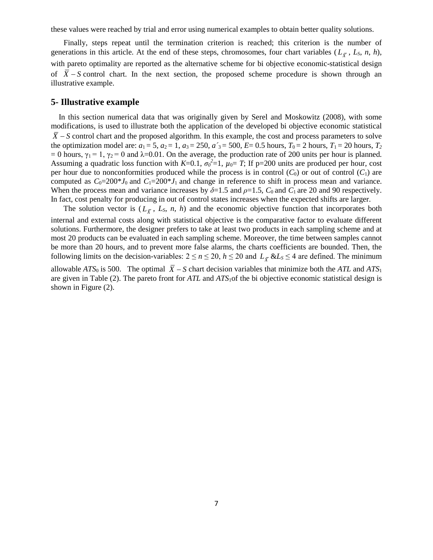these values were reached by trial and error using numerical examples to obtain better quality solutions.

Finally, steps repeat until the termination criterion is reached; this criterion is the number of generations in this article. At the end of these steps, chromosomes, four chart variables ( $L_{\overline{y}}$ ,  $L_{S}$ ,  $n$ ,  $h$ ), with pareto optimality are reported as the alternative scheme for bi objective economic-statistical design of  $\overline{X}$  – S control chart. In the next section, the proposed scheme procedure is shown through an illustrative example.

### **5- Illustrative example**

 In this section numerical data that was originally given by [Serel and Moskowitz \(2008\)](#page-15-2), with some modifications, is used to illustrate both the application of the developed bi objective economic statistical  $\overline{X}$  – S control chart and the proposed algorithm. In this example, the cost and process parameters to solve the optimization model are:  $a_1 = 5$ ,  $a_2 = 1$ ,  $a_3 = 250$ ,  $a'_3 = 500$ ,  $E = 0.5$  hours,  $T_0 = 2$  hours,  $T_1 = 20$  hours,  $T_2$ = 0 hours,  $\gamma_1$  = 1,  $\gamma_2$  = 0 and  $\lambda$ =0.01. On the average, the production rate of 200 units per hour is planned. Assuming a quadratic loss function with  $K=0.1$ ,  $\sigma_0^2=1$ ,  $\mu_0=T$ ; If p=200 units are produced per hour, cost per hour due to nonconformities produced while the process is in control  $(C_0)$  or out of control  $(C_1)$  are computed as  $C_0=200*J_0$  and  $C_1=200*J_1$  and change in reference to shift in process mean and variance. When the process mean and variance increases by  $\delta = 1.5$  and  $\rho = 1.5$ ,  $C_0$  and  $C_1$  are 20 and 90 respectively. In fact, cost penalty for producing in out of control states increases when the expected shifts are larger.

The solution vector is  $(L_{\bar{X}}, L_S, n, h)$  and the economic objective function that incorporates both internal and external costs along with statistical objective is the comparative factor to evaluate different solutions. Furthermore, the designer prefers to take at least two products in each sampling scheme and at most 20 products can be evaluated in each sampling scheme. Moreover, the time between samples cannot be more than 20 hours, and to prevent more false alarms, the charts coefficients are bounded. Then, the following limits on the decision-variables:  $2 \le n \le 20$ ,  $h \le 20$  and  $L_{\overline{X}}$  &*Ls*  $\le 4$  are defined. The minimum

allowable *ATS*<sup>0</sup> is 500. The optimal  $\overline{X}$  − *S* chart decision variables that minimize both the *ATL* and *ATS*<sup>1</sup> are given in Table (2). The pareto front for *ATL* and *ATS*1of the bi objective economic statistical design is shown in Figure (2).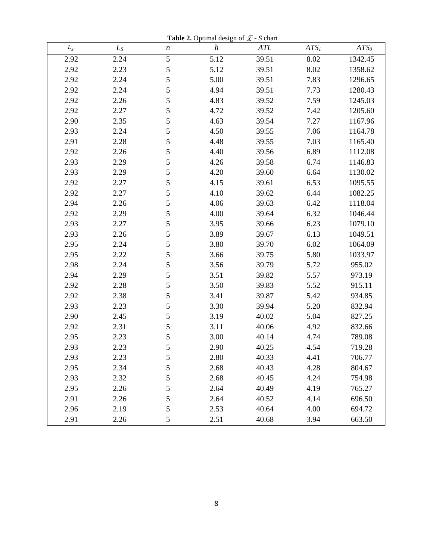**Table 2.** Optimal design of  $\overline{X}$  - *S* chart

| $L_{\bar{x}}$ | $L_S$ | $\boldsymbol{n}$ | $\boldsymbol{h}$ | ATL   | ATS <sub>I</sub> | ATS <sub>0</sub> |
|---------------|-------|------------------|------------------|-------|------------------|------------------|
| 2.92          | 2.24  | 5                | 5.12             | 39.51 | 8.02             | 1342.45          |
| 2.92          | 2.23  | 5                | 5.12             | 39.51 | 8.02             | 1358.62          |
| 2.92          | 2.24  | 5                | 5.00             | 39.51 | 7.83             | 1296.65          |
| 2.92          | 2.24  | 5                | 4.94             | 39.51 | 7.73             | 1280.43          |
| 2.92          | 2.26  | 5                | 4.83             | 39.52 | 7.59             | 1245.03          |
| 2.92          | 2.27  | 5                | 4.72             | 39.52 | 7.42             | 1205.60          |
| 2.90          | 2.35  | 5                | 4.63             | 39.54 | 7.27             | 1167.96          |
| 2.93          | 2.24  | 5                | 4.50             | 39.55 | 7.06             | 1164.78          |
| 2.91          | 2.28  | 5                | 4.48             | 39.55 | 7.03             | 1165.40          |
| 2.92          | 2.26  | 5                | 4.40             | 39.56 | 6.89             | 1112.08          |
| 2.93          | 2.29  | 5                | 4.26             | 39.58 | 6.74             | 1146.83          |
| 2.93          | 2.29  | 5                | 4.20             | 39.60 | 6.64             | 1130.02          |
| 2.92          | 2.27  | 5                | 4.15             | 39.61 | 6.53             | 1095.55          |
| 2.92          | 2.27  | 5                | 4.10             | 39.62 | 6.44             | 1082.25          |
| 2.94          | 2.26  | 5                | 4.06             | 39.63 | 6.42             | 1118.04          |
| 2.92          | 2.29  | 5                | 4.00             | 39.64 | 6.32             | 1046.44          |
| 2.93          | 2.27  | 5                | 3.95             | 39.66 | 6.23             | 1079.10          |
| 2.93          | 2.26  | 5                | 3.89             | 39.67 | 6.13             | 1049.51          |
| 2.95          | 2.24  | 5                | 3.80             | 39.70 | 6.02             | 1064.09          |
| 2.95          | 2.22  | 5                | 3.66             | 39.75 | 5.80             | 1033.97          |
| 2.98          | 2.24  | 5                | 3.56             | 39.79 | 5.72             | 955.02           |
| 2.94          | 2.29  | 5                | 3.51             | 39.82 | 5.57             | 973.19           |
| 2.92          | 2.28  | 5                | 3.50             | 39.83 | 5.52             | 915.11           |
| 2.92          | 2.38  | 5                | 3.41             | 39.87 | 5.42             | 934.85           |
| 2.93          | 2.23  | 5                | 3.30             | 39.94 | 5.20             | 832.94           |
| 2.90          | 2.45  | 5                | 3.19             | 40.02 | 5.04             | 827.25           |
| 2.92          | 2.31  | 5                | 3.11             | 40.06 | 4.92             | 832.66           |
| 2.95          | 2.23  | 5                | 3.00             | 40.14 | 4.74             | 789.08           |
| 2.93          | 2.23  | 5                | 2.90             | 40.25 | 4.54             | 719.28           |
| 2.93          | 2.23  | 5                | 2.80             | 40.33 | 4.41             | 706.77           |
| 2.95          | 2.34  | 5                | 2.68             | 40.43 | 4.28             | 804.67           |
| 2.93          | 2.32  | 5                | 2.68             | 40.45 | 4.24             | 754.98           |
| 2.95          | 2.26  | 5                | 2.64             | 40.49 | 4.19             | 765.27           |
| 2.91          | 2.26  | 5                | 2.64             | 40.52 | 4.14             | 696.50           |
| 2.96          | 2.19  | 5                | 2.53             | 40.64 | 4.00             | 694.72           |
| 2.91          | 2.26  | 5                | 2.51             | 40.68 | 3.94             | 663.50           |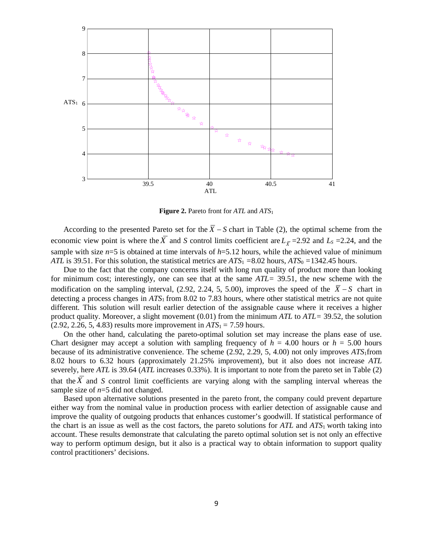

**Figure 2.** Pareto front for *ATL* and *ATS*<sup>1</sup>

According to the presented Pareto set for the  $\overline{X}$  − S chart in Table (2), the optimal scheme from the economic view point is where the  $\overline{X}$  and *S* control limits coefficient are  $L_{\overline{X}}$  =2.92 and  $L_S$  =2.24, and the sample with size  $n=5$  is obtained at time intervals of  $h=5.12$  hours, while the achieved value of minimum *ATL* is 39.51. For this solution, the statistical metrics are *ATS*<sup>1</sup> *=*8.02 hours, *ATS*<sup>0</sup> *=*1342.45 hours.

Due to the fact that the company concerns itself with long run quality of product more than looking for minimum cost; interestingly, one can see that at the same *ATL=* 39.51, the new scheme with the modification on the sampling interval, (2.92, 2.24, 5, 5.00), improves the speed of the  $\overline{X}$  − S chart in detecting a process changes in *ATS*1 from 8.02 to 7.83 hours, where other statistical metrics are not quite different. This solution will result earlier detection of the assignable cause where it receives a higher product quality. Moreover, a slight movement (0.01) from the minimum *ATL* to *ATL=* 39.52*,* the solution  $(2.92, 2.26, 5, 4.83)$  results more improvement in  $ATS_1 = 7.59$  hours.

On the other hand, calculating the pareto-optimal solution set may increase the plans ease of use. Chart designer may accept a solution with sampling frequency of  $h = 4.00$  hours or  $h = 5.00$  hours because of its administrative convenience. The scheme (2.92, 2.29, 5, 4.00) not only improves *ATS*1from 8.02 hours to 6.32 hours (approximately 21.25% improvement), but it also does not increase *ATL*  severely, here *ATL* is 39.64 (*ATL* increases 0.33%). It is important to note from the pareto set in Table (2) that the *X* and *S* control limit coefficients are varying along with the sampling interval whereas the sample size of *n*=5 did not changed.

Based upon alternative solutions presented in the pareto front, the company could prevent departure either way from the nominal value in production process with earlier detection of assignable cause and improve the quality of outgoing products that enhances customer's goodwill. If statistical performance of the chart is an issue as well as the cost factors, the pareto solutions for *ATL* and *ATS*1 worth taking into account. These results demonstrate that calculating the pareto optimal solution set is not only an effective way to perform optimum design, but it also is a practical way to obtain information to support quality control practitioners' decisions.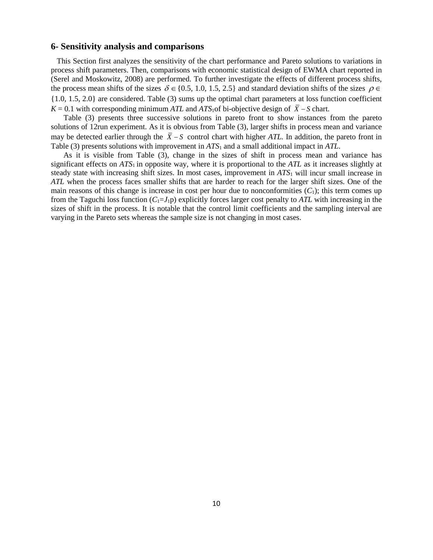## **6- Sensitivity analysis and comparisons**

 This Section first analyzes the sensitivity of the chart performance and Pareto solutions to variations in process shift parameters. Then, comparisons with economic statistical design of EWMA chart reported in [\(Serel and Moskowitz, 2008\)](#page-15-2) are performed. To further investigate the effects of different process shifts, the process mean shifts of the sizes  $\delta \in \{0.5, 1.0, 1.5, 2.5\}$  and standard deviation shifts of the sizes  $\rho \in$ {1.0, 1.5, 2.0} are considered. Table (3) sums up the optimal chart parameters at loss function coefficient  $K = 0.1$  with corresponding minimum *ATL* and *ATS*<sub>1</sub>of bi-objective design of  $\overline{X}$  – *S* chart.

Table (3) presents three successive solutions in pareto front to show instances from the pareto solutions of 12run experiment. As it is obvious from Table (3), larger shifts in process mean and variance may be detected earlier through the  $\overline{X}$  − S control chart with higher *ATL*. In addition, the pareto front in Table (3) presents solutions with improvement in *ATS*<sup>1</sup> and a small additional impact in *ATL*.

As it is visible from Table (3), change in the sizes of shift in process mean and variance has significant effects on *ATS*1 in opposite way, where it is proportional to the *ATL* as it increases slightly at steady state with increasing shift sizes. In most cases, improvement in *ATS*<sup>1</sup> will incur small increase in *ATL* when the process faces smaller shifts that are harder to reach for the larger shift sizes. One of the main reasons of this change is increase in cost per hour due to nonconformities  $(C_1)$ ; this term comes up from the Taguchi loss function  $(C_1=J_1p)$  explicitly forces larger cost penalty to *ATL* with increasing in the sizes of shift in the process. It is notable that the control limit coefficients and the sampling interval are varying in the Pareto sets whereas the sample size is not changing in most cases.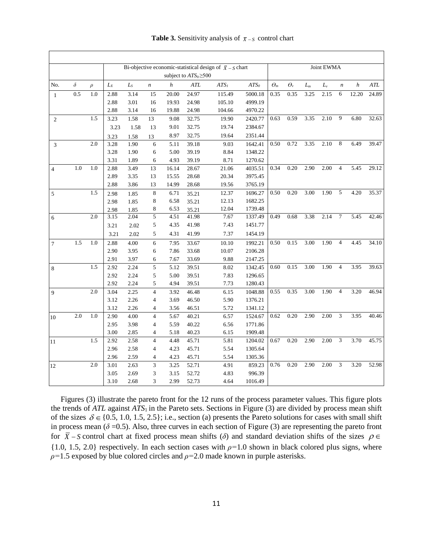| <b>Table 3.</b> Sensitivity analysis of $\bar{x}$ – s control chart |  |  |  |
|---------------------------------------------------------------------|--|--|--|
|---------------------------------------------------------------------|--|--|--|

|                |          |                  |       | Bi-objective economic-statistical design of $\overline{X}$ – <i>S</i> chart | Joint EWMA              |                  |                             |                  |                  |               |                |       |           |                  |       |       |
|----------------|----------|------------------|-------|-----------------------------------------------------------------------------|-------------------------|------------------|-----------------------------|------------------|------------------|---------------|----------------|-------|-----------|------------------|-------|-------|
|                |          |                  |       |                                                                             |                         |                  | subject to $ATS_0 \geq 500$ |                  |                  |               |                |       |           |                  |       |       |
| No.            | $\delta$ | $\rho$           | $L_X$ | $\mathcal{L}_\mathcal{S}$                                                   | $\boldsymbol{n}$        | $\boldsymbol{h}$ | ATL                         | ATS <sub>1</sub> | ATS <sub>0</sub> | $\varTheta_m$ | $\theta_{\nu}$ | $L_m$ | $L_{\nu}$ | $\boldsymbol{n}$ | h     | ATL   |
| $\mathbf{1}$   | 0.5      | 1.0              | 2.88  | 3.14                                                                        | 15                      | 20.00            | 24.97                       | 115.49           | 5000.18          | 0.35          | 0.35           | 3.25  | 2.15      | 6                | 12.20 | 24.89 |
|                |          |                  | 2.88  | 3.01                                                                        | 16                      | 19.93            | 24.98                       | 105.10           | 4999.19          |               |                |       |           |                  |       |       |
|                |          |                  | 2.88  | 3.14                                                                        | 16                      | 19.88            | 24.98                       | 104.66           | 4970.22          |               |                |       |           |                  |       |       |
| $\overline{2}$ |          | 1.5              | 3.23  | 1.58                                                                        | 13                      | 9.08             | 32.75                       | 19.90            | 2420.77          | 0.63          | 0.59           | 3.35  | 2.10      | 9                | 6.80  | 32.63 |
|                |          |                  | 3.23  | 1.58                                                                        | 13                      | 9.01             | 32.75                       | 19.74            | 2384.67          |               |                |       |           |                  |       |       |
|                |          |                  | 3.23  | 1.58                                                                        | 13                      | 8.97             | 32.75                       | 19.64            | 2351.44          |               |                |       |           |                  |       |       |
| 3              |          | 2.0              | 3.28  | 1.90                                                                        | 6                       | 5.11             | 39.18                       | 9.03             | 1642.41          | 0.50          | 0.72           | 3.35  | 2.10      | $\,8\,$          | 6.49  | 39.47 |
|                |          |                  | 3.28  | 1.90                                                                        | 6                       | 5.00             | 39.19                       | 8.84             | 1348.22          |               |                |       |           |                  |       |       |
|                |          |                  | 3.31  | 1.89                                                                        | 6                       | 4.93             | 39.19                       | 8.71             | 1270.62          |               |                |       |           |                  |       |       |
| $\overline{4}$ | 1.0      | 1.0              | 2.88  | 3.49                                                                        | 13                      | 16.14            | 28.67                       | 21.06            | 4035.51          | 0.34          | 0.20           | 2.90  | 2.00      | $\overline{4}$   | 5.45  | 29.12 |
|                |          |                  | 2.89  | 3.35                                                                        | 13                      | 15.55            | 28.68                       | 20.34            | 3975.45          |               |                |       |           |                  |       |       |
|                |          |                  | 2.88  | 3.86                                                                        | 13                      | 14.99            | 28.68                       | 19.56            | 3765.19          |               |                |       |           |                  |       |       |
| 5              |          | 1.5              | 2.98  | 1.85                                                                        | 8                       | 6.71             | 35.21                       | 12.37            | 1696.27          | 0.50          | 0.20           | 3.00  | 1.90      | 5                | 4.20  | 35.37 |
|                |          |                  | 2.98  | 1.85                                                                        | $\,$ 8 $\,$             | 6.58             | 35.21                       | 12.13            | 1682.25          |               |                |       |           |                  |       |       |
|                |          |                  | 2.98  | 1.85                                                                        | 8                       | 6.53             | 35.21                       | 12.04            | 1739.48          |               |                |       |           |                  |       |       |
| 6              |          | 2.0              | 3.15  | 2.04                                                                        | $\overline{5}$          | 4.51             | 41.98                       | 7.67             | 1337.49          | 0.49          | 0.68           | 3.38  | 2.14      | $\overline{7}$   | 5.45  | 42.46 |
|                |          |                  | 3.21  | 2.02                                                                        | 5                       | 4.35             | 41.98                       | 7.43             | 1451.77          |               |                |       |           |                  |       |       |
|                |          |                  | 3.21  | 2.02                                                                        | 5                       | 4.31             | 41.99                       | 7.37             | 1454.19          |               |                |       |           |                  |       |       |
| $\tau$         | 1.5      | $\overline{1.0}$ | 2.88  | 4.00                                                                        | $\overline{6}$          | 7.95             | 33.67                       | 10.10            | 1992.21          | 0.50          | 0.15           | 3.00  | 1.90      | $\overline{4}$   | 4.45  | 34.10 |
|                |          |                  | 2.90  | 3.95                                                                        | 6                       | 7.86             | 33.68                       | 10.07            | 2106.28          |               |                |       |           |                  |       |       |
|                |          |                  | 2.91  | 3.97                                                                        | 6                       | 7.67             | 33.69                       | 9.88             | 2147.25          |               |                |       |           |                  |       |       |
| 8              |          | 1.5              | 2.92  | 2.24                                                                        | 5                       | 5.12             | 39.51                       | 8.02             | 1342.45          | 0.60          | 0.15           | 3.00  | 1.90      | $\overline{4}$   | 3.95  | 39.63 |
|                |          |                  | 2.92  | 2.24                                                                        | 5                       | 5.00             | 39.51                       | 7.83             | 1296.65          |               |                |       |           |                  |       |       |
|                |          |                  | 2.92  | 2.24                                                                        | 5                       | 4.94             | 39.51                       | 7.73             | 1280.43          |               |                |       |           |                  |       |       |
| 9              |          | $2.0\,$          | 3.04  | 2.25                                                                        | $\overline{4}$          | 3.92             | 46.48                       | 6.15             | 1048.88          | 0.55          | 0.35           | 3.00  | 1.90      | $\overline{4}$   | 3.20  | 46.94 |
|                |          |                  | 3.12  | 2.26                                                                        | 4                       | 3.69             | 46.50                       | 5.90             | 1376.21          |               |                |       |           |                  |       |       |
|                |          |                  | 3.12  | 2.26                                                                        | 4                       | 3.56             | 46.51                       | 5.72             | 1341.12          |               |                |       |           |                  |       |       |
| 10             | 2.0      | 1.0              | 2.90  | 4.00                                                                        | $\overline{\mathbf{4}}$ | 5.67             | 40.21                       | 6.57             | 1524.67          | 0.62          | 0.20           | 2.90  | 2.00      | 3                | 3.95  | 40.46 |
|                |          |                  | 2.95  | 3.98                                                                        | $\overline{4}$          | 5.59             | 40.22                       | 6.56             | 1771.86          |               |                |       |           |                  |       |       |
|                |          |                  | 3.00  | 2.85                                                                        | $\overline{4}$          | 5.18             | 40.23                       | 6.15             | 1909.48          |               |                |       |           |                  |       |       |
| 11             |          | 1.5              | 2.92  | 2.58                                                                        | $\overline{4}$          | 4.48             | 45.71                       | 5.81             | 1204.02          | 0.67          | 0.20           | 2.90  | 2.00      | 3                | 3.70  | 45.75 |
|                |          |                  | 2.96  | 2.58                                                                        | 4                       | 4.23             | 45.71                       | 5.54             | 1305.64          |               |                |       |           |                  |       |       |
|                |          |                  | 2.96  | 2.59                                                                        | 4                       | 4.23             | 45.71                       | 5.54             | 1305.36          |               |                |       |           |                  |       |       |
| 12             |          | 2.0              | 3.01  | 2.63                                                                        | 3                       | 3.25             | 52.71                       | 4.91             | 859.23           | 0.76          | 0.20           | 2.90  | 2.00      | 3                | 3.20  | 52.98 |
|                |          |                  | 3.05  | 2.69                                                                        | 3                       | 3.15             | 52.72                       | 4.83             | 996.39           |               |                |       |           |                  |       |       |
|                |          |                  | 3.10  | 2.68                                                                        | 3                       | 2.99             | 52.73                       | 4.64             | 1016.49          |               |                |       |           |                  |       |       |

 Figures (3) illustrate the pareto front for the 12 runs of the process parameter values. This figure plots the trends of *ATL* against *ATS*1 in the Pareto sets. Sections in Figure (3) are divided by process mean shift of the sizes  $\delta \in \{0.5, 1.0, 1.5, 2.5\}$ ; i.e., section (a) presents the Pareto solutions for cases with small shift in process mean  $(\delta = 0.5)$ . Also, three curves in each section of Figure (3) are representing the pareto front for  $\overline{X}$  – S control chart at fixed process mean shifts ( $\delta$ ) and standard deviation shifts of the sizes  $\rho \in$  $\{1.0, 1.5, 2.0\}$  respectively. In each section cases with  $\rho=1.0$  shown in black colored plus signs, where *ρ=*1.5 exposed by blue colored circles and *ρ=*2.0 made known in purple asterisks.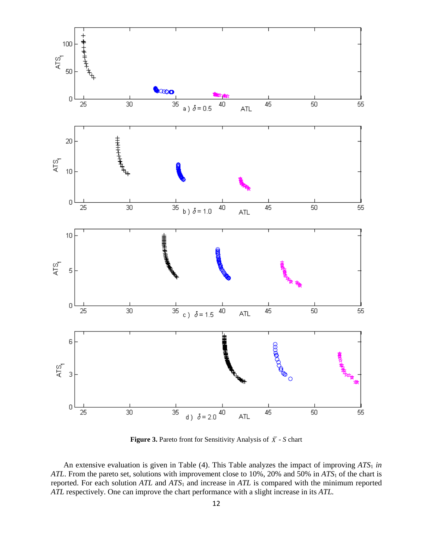

**Figure 3.** Pareto front for Sensitivity Analysis of  $\overline{X}$  - *S* chart

An extensive evaluation is given in Table (4). This Table analyzes the impact of improving  $ATS_1$  in *ATL*. From the pareto set, solutions with improvement close to 10%, 20% and 50% in *ATS*<sup>1</sup> of the chart is reported. For each solution *ATL* and *ATS*<sup>1</sup> and increase in *ATL* is compared with the minimum reported *ATL* respectively. One can improve the chart performance with a slight increase in its *ATL.*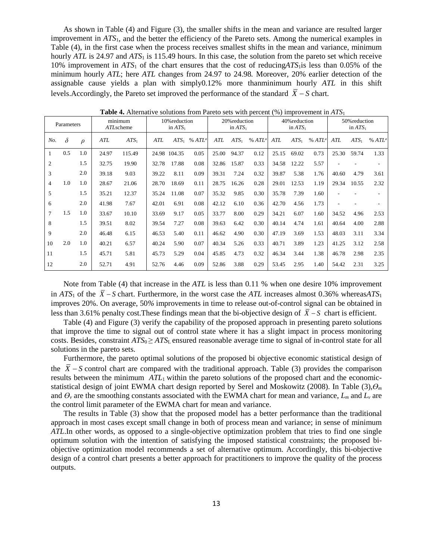As shown in Table (4) and Figure (3), the smaller shifts in the mean and variance are resulted larger improvement in *ATS*1, and the better the efficiency of the Pareto sets. Among the numerical examples in Table (4), in the first case when the process receives smallest shifts in the mean and variance, minimum hourly *ATL* is 24.97 and *ATS*<sup>1</sup> is 115.49 hours. In this case, the solution from the pareto set which receive 10% improvement in *ATS*<sup>1</sup> of the chart ensures that the cost of reducing*ATS*1is less than 0.05% of the minimum hourly *ATL*; here *ATL* changes from 24.97 to 24.98*.* Moreover, 20% earlier detection of the assignable cause yields a plan with simply0.12% more thanminimum hourly *ATL* in this shift levels.Accordingly, the Pareto set improved the performance of the standard  $\overline{X}$  − S chart.

| Parameters     |          | minimum<br>ATLscheme |       | 10% reduction<br>in $ATS_1$ |            | 20% reduction<br>in $ATS_1$ |                   |       | 40% reduction<br>in $ATS_1$ |                   |       | 50% reduction<br>in $ATS_1$ |                   |       |         |                   |
|----------------|----------|----------------------|-------|-----------------------------|------------|-----------------------------|-------------------|-------|-----------------------------|-------------------|-------|-----------------------------|-------------------|-------|---------|-------------------|
| No.            | $\delta$ | $\rho$               | ATL   | $ATS_1$                     | <b>ATL</b> |                             | $ATS_1$ % $ATL^a$ | ATL   | $ATS_1$                     | %ATL <sup>a</sup> | ATL   | $ATS_1$                     | %ATL <sup>a</sup> | ATL   | $ATS_1$ | %ATL <sup>a</sup> |
|                | 0.5      | 1.0                  | 24.97 | 115.49                      |            | 24.98 104.35                | 0.05              | 25.00 | 94.37                       | 0.12              | 25.15 | 69.02                       | 0.73              | 25.30 | 59.74   | 1.33              |
| $\overline{2}$ |          | 1.5                  | 32.75 | 19.90                       | 32.78      | 17.88                       | 0.08              | 32.86 | 15.87                       | 0.33              | 34.58 | 12.22                       | 5.57              |       |         |                   |
| 3              |          | 2.0                  | 39.18 | 9.03                        | 39.22      | 8.11                        | 0.09              | 39.31 | 7.24                        | 0.32              | 39.87 | 5.38                        | 1.76              | 40.60 | 4.79    | 3.61              |
| $\overline{4}$ | 1.0      | 1.0                  | 28.67 | 21.06                       | 28.70      | 18.69                       | 0.11              | 28.75 | 16.26                       | 0.28              | 29.01 | 12.53                       | 1.19              | 29.34 | 10.55   | 2.32              |
| 5              |          | 1.5                  | 35.21 | 12.37                       | 35.24      | 11.08                       | 0.07              | 35.32 | 9.85                        | 0.30              | 35.78 | 7.39                        | 1.60              |       |         |                   |
| 6              |          | 2.0                  | 41.98 | 7.67                        | 42.01      | 6.91                        | 0.08              | 42.12 | 6.10                        | 0.36              | 42.70 | 4.56                        | 1.73              |       |         |                   |
| 7              | 1.5      | 1.0                  | 33.67 | 10.10                       | 33.69      | 9.17                        | 0.05              | 33.77 | 8.00                        | 0.29              | 34.21 | 6.07                        | 1.60              | 34.52 | 4.96    | 2.53              |
| 8              |          | 1.5                  | 39.51 | 8.02                        | 39.54      | 7.27                        | 0.08              | 39.63 | 6.42                        | 0.30              | 40.14 | 4.74                        | 1.61              | 40.64 | 4.00    | 2.88              |
| 9              |          | 2.0                  | 46.48 | 6.15                        | 46.53      | 5.40                        | 0.11              | 46.62 | 4.90                        | 0.30              | 47.19 | 3.69                        | 1.53              | 48.03 | 3.11    | 3.34              |
| 10             | 2.0      | 1.0                  | 40.21 | 6.57                        | 40.24      | 5.90                        | 0.07              | 40.34 | 5.26                        | 0.33              | 40.71 | 3.89                        | 1.23              | 41.25 | 3.12    | 2.58              |
| 11             |          | 1.5                  | 45.71 | 5.81                        | 45.73      | 5.29                        | 0.04              | 45.85 | 4.73                        | 0.32              | 46.34 | 3.44                        | 1.38              | 46.78 | 2.98    | 2.35              |
| 12             |          | 2.0                  | 52.71 | 4.91                        | 52.76      | 4.46                        | 0.09              | 52.86 | 3.88                        | 0.29              | 53.45 | 2.95                        | 1.40              | 54.42 | 2.31    | 3.25              |

**Table 4.** Alternative solutions from Pareto sets with percent (%) improvement in *ATS*<sup>1</sup>

Note from Table (4) that increase in the *ATL* is less than 0.11 % when one desire 10% improvement in *ATS*<sub>1</sub> of the  $\overline{X}$  – *S* chart. Furthermore, in the worst case the *ATL* increases almost 0.36% whereas*ATS*<sub>1</sub> improves 20%. On average, 50*%* improvements in time to release out-of-control signal can be obtained in less than 3.61% penalty cost. These findings mean that the bi-objective design of  $\overline{X}$  – S chart is efficient.

Table (4) and Figure (3) verify the capability of the proposed approach in presenting pareto solutions that improve the time to signal out of control state where it has a slight impact in process monitoring costs. Besides, constraint  $ATS_0 \geq ATS_1$  ensured reasonable average time to signal of in-control state for all solutions in the pareto sets.

Furthermore, the pareto optimal solutions of the proposed bi objective economic statistical design of the  $X - S$  control chart are compared with the traditional approach. Table (3) provides the comparison results between the minimum *ATL*<sup>1</sup> within the pareto solutions of the proposed chart and the economicstatistical design of joint EWMA chart design reported by Serel and Moskowitz (2008). In Table (3),*Ө<sup>m</sup>* and  $\theta$ <sup>*v*</sup> are the smoothing constants associated with the EWMA chart for mean and variance,  $L_m$  and  $L_v$  are the control limit parameter of the EWMA chart for mean and variance.

The results in Table (3) show that the proposed model has a better performance than the traditional approach in most cases except small change in both of process mean and variance; in sense of minimum *ATL*.In other words, as opposed to a single-objective optimization problem that tries to find one single optimum solution with the intention of satisfying the imposed statistical constraints; the proposed biobjective optimization model recommends a set of alternative optimum. Accordingly, this bi-objective design of a control chart presents a better approach for practitioners to improve the quality of the process outputs.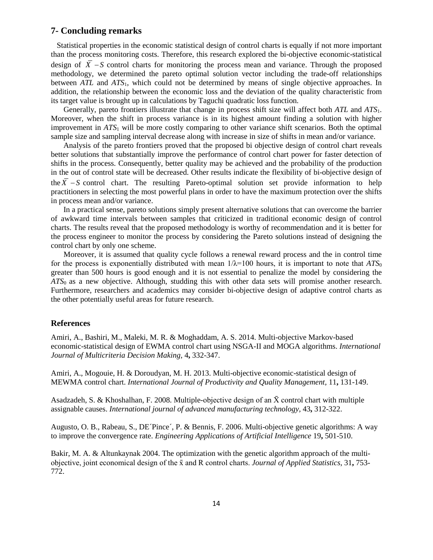# **7- Concluding remarks**

 Statistical properties in the economic statistical design of control charts is equally if not more important than the process monitoring costs. Therefore, this research explored the bi-objective economic-statistical design of  $\overline{X}$  − S control charts for monitoring the process mean and variance. Through the proposed methodology, we determined the pareto optimal solution vector including the trade-off relationships between *ATL* and *ATS*1, which could not be determined by means of single objective approaches. In addition, the relationship between the economic loss and the deviation of the quality characteristic from its target value is brought up in calculations by Taguchi quadratic loss function.

Generally, pareto frontiers illustrate that change in process shift size will affect both *ATL* and *ATS*1. Moreover, when the shift in process variance is in its highest amount finding a solution with higher improvement in *ATS*<sup>1</sup> will be more costly comparing to other variance shift scenarios. Both the optimal sample size and sampling interval decrease along with increase in size of shifts in mean and/or variance.

Analysis of the pareto frontiers proved that the proposed bi objective design of control chart reveals better solutions that substantially improve the performance of control chart power for faster detection of shifts in the process. Consequently, better quality may be achieved and the probability of the production in the out of control state will be decreased. Other results indicate the flexibility of bi-objective design of the  $\overline{X}$  – S control chart. The resulting Pareto-optimal solution set provide information to help practitioners in selecting the most powerful plans in order to have the maximum protection over the shifts in process mean and/or variance.

In a practical sense, pareto solutions simply present alternative solutions that can overcome the barrier of awkward time intervals between samples that criticized in traditional economic design of control charts. The results reveal that the proposed methodology is worthy of recommendation and it is better for the process engineer to monitor the process by considering the Pareto solutions instead of designing the control chart by only one scheme.

Moreover, it is assumed that quality cycle follows a renewal reward process and the in control time for the process is exponentially distributed with mean  $1/\lambda = 100$  hours, it is important to note that  $ATS_0$ greater than 500 hours is good enough and it is not essential to penalize the model by considering the *ATS*0 as a new objective. Although, studding this with other data sets will promise another research. Furthermore, researchers and academics may consider bi-objective design of adaptive control charts as the other potentially useful areas for future research.

#### **References**

<span id="page-13-3"></span>Amiri, A., Bashiri, M., Maleki, M. R. & Moghaddam, A. S. 2014. Multi-objective Markov-based economic-statistical design of EWMA control chart using NSGA-II and MOGA algorithms. *International Journal of Multicriteria Decision Making,* 4**,** 332-347.

<span id="page-13-2"></span>Amiri, A., Mogouie, H. & Doroudyan, M. H. 2013. Multi-objective economic-statistical design of MEWMA control chart. *International Journal of Productivity and Quality Management,* 11**,** 131-149.

<span id="page-13-1"></span>Asadzadeh, S. & Khoshalhan, F. 2008. Multiple-objective design of an  $\bar{X}$  control chart with multiple assignable causes. *International journal of advanced manufacturing technology,* 43**,** 312-322.

<span id="page-13-4"></span>Augusto, O. B., Rabeau, S., DE´Pince´, P. & Bennis, F. 2006. Multi-objective genetic algorithms: A way to improve the convergence rate. *Engineering Applications of Artificial Intelligence* 19**,** 501-510.

<span id="page-13-0"></span>Bakir, M. A. & Altunkaynak 2004. The optimization with the genetic algorithm approach of the multiobjective, joint economical design of the x̄ and R control charts. *Journal of Applied Statistics,* 31**,** 753- 772.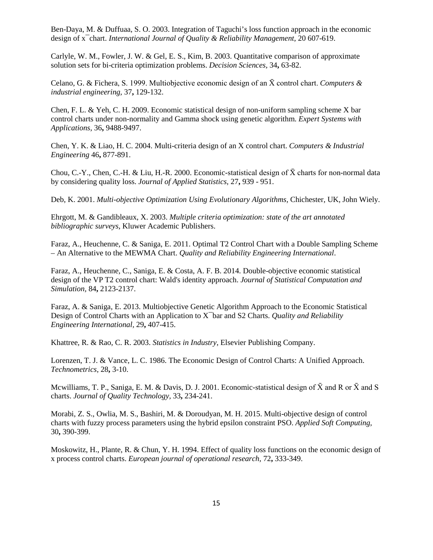<span id="page-14-3"></span>Ben-Daya, M. & Duffuaa, S. O. 2003. Integration of Taguchi's loss function approach in the economic design of x¯chart. *International Journal of Quality & Reliability Management,* 20 607-619.

<span id="page-14-15"></span>Carlyle, W. M., Fowler, J. W. & Gel, E. S., Kim, B. 2003. Quantitative comparison of approximate solution sets for bi-criteria optimization problems. *Decision Sciences,* 34**,** 63-82.

<span id="page-14-7"></span>Celano, G. & Fichera, S. 1999. Multiobjective economic design of an X̄ control chart. *Computers & industrial engineering,* 37**,** 129-132.

<span id="page-14-5"></span>Chen, F. L. & Yeh, C. H. 2009. Economic statistical design of non-uniform sampling scheme X bar control charts under non-normality and Gamma shock using genetic algorithm. *Expert Systems with Applications,* 36**,** 9488-9497.

<span id="page-14-6"></span>Chen, Y. K. & Liao, H. C. 2004. Multi-criteria design of an X control chart. *Computers & Industrial Engineering* 46**,** 877-891.

<span id="page-14-2"></span>Chou, C.-Y., Chen, C.-H. & Liu, H.-R. 2000. Economic-statistical design of  $\bar{X}$  charts for non-normal data by considering quality loss. *Journal of Applied Statistics,* 27**,** 939 - 951.

<span id="page-14-14"></span>Deb, K. 2001. *Multi-objective Optimization Using Evolutionary Algorithms,* Chichester, UK, John Wiely.

<span id="page-14-13"></span>Ehrgott, M. & Gandibleaux, X. 2003. *Multiple criteria optimization: state of the art annotated bibliographic surveys*, Kluwer Academic Publishers.

<span id="page-14-12"></span>Faraz, A., Heuchenne, C. & Saniga, E. 2011. Optimal T2 Control Chart with a Double Sampling Scheme – An Alternative to the MEWMA Chart. *Quality and Reliability Engineering International*.

<span id="page-14-8"></span>Faraz, A., Heuchenne, C., Saniga, E. & Costa, A. F. B. 2014. Double-objective economic statistical design of the VP T2 control chart: Wald's identity approach. *Journal of Statistical Computation and Simulation,* 84**,** 2123-2137.

<span id="page-14-9"></span>Faraz, A. & Saniga, E. 2013. Multiobjective Genetic Algorithm Approach to the Economic Statistical Design of Control Charts with an Application to X¯bar and S2 Charts. *Quality and Reliability Engineering International,* 29**,** 407-415.

<span id="page-14-0"></span>Khattree, R. & Rao, C. R. 2003. *Statistics in Industry*, Elsevier Publishing Company.

<span id="page-14-11"></span>Lorenzen, T. J. & Vance, L. C. 1986. The Economic Design of Control Charts: A Unified Approach. *Technometrics,* 28**,** 3-10.

<span id="page-14-4"></span>Mcwilliams, T. P., Saniga, E. M. & Davis, D. J. 2001. Economic-statistical design of  $\bar{X}$  and R or  $\bar{X}$  and S charts. *Journal of Quality Technology,* 33**,** 234-241.

<span id="page-14-10"></span>Morabi, Z. S., Owlia, M. S., Bashiri, M. & Doroudyan, M. H. 2015. Multi-objective design of control charts with fuzzy process parameters using the hybrid epsilon constraint PSO. *Applied Soft Computing,* 30**,** 390-399.

<span id="page-14-1"></span>Moskowitz, H., Plante, R. & Chun, Y. H. 1994. Effect of quality loss functions on the economic design of x process control charts. *European journal of operational research,* 72**,** 333-349.